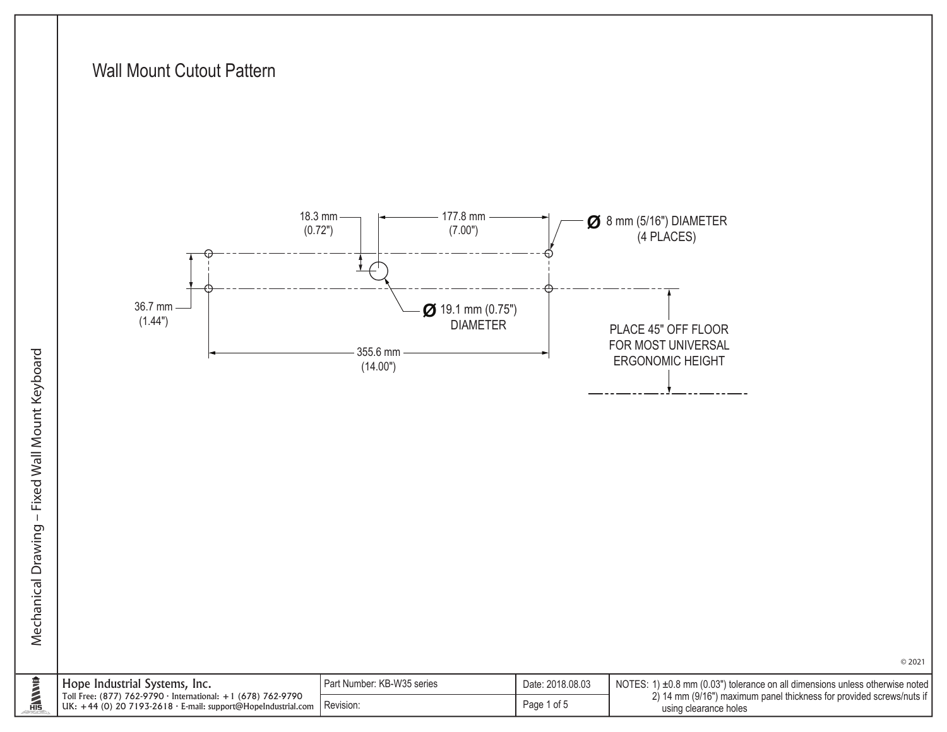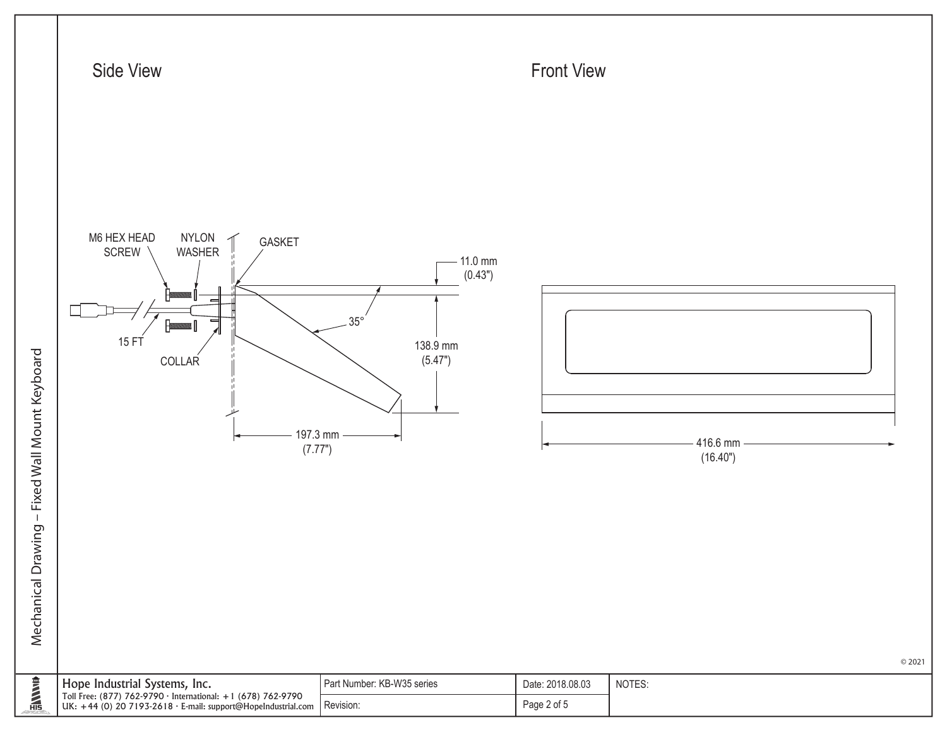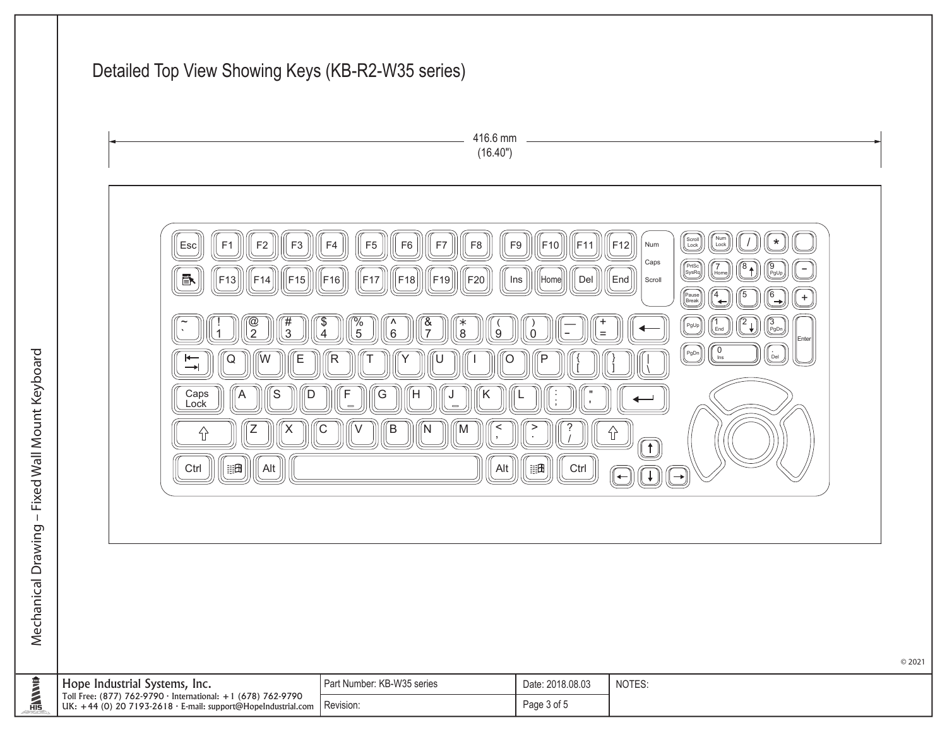| Scroll<br>Lock<br>Num<br>Lock<br>$\ast$<br>F2<br>${\sf F3}$<br>${\sf F4}$<br>F <sub>6</sub><br>${\sf F8}$<br>${\sf F}9$<br>F12<br>F1<br>F <sub>5</sub><br>${\sf F7}$<br>F10<br>Esc<br> F11<br>Num<br>Caps<br>$\left(\begin{smallmatrix} 9 \  \  \, \text{PgUp} \end{smallmatrix}\right)$<br>PrtSc<br>SysRq<br>$\ln s$       Home       Del<br>$\Vert$ End<br>   F14      F15 <br>$\Vert$ F <sub>16</sub><br>$\ $ F17 $\ $<br>$\Vert$ F18 $\Vert$<br>$\Vert$ F19 $\Vert$<br>$\Vert$ F20 $\Vert$<br>Ð<br> F13 <br>Scroll<br>6<br>Pause<br>Break<br>$\begin{matrix} \boxed{0} \\ 2 \end{matrix}$<br>$\begin{pmatrix} 1 \\ 3 \end{pmatrix}$<br>$\sqrt{\frac{%}{5}}$<br>$\sqrt{\frac{2}{3}}$<br>$\sqrt{\frac{8}{7}}$<br>$\begin{pmatrix} 1 \ 6 \end{pmatrix}$<br>$\frac{1}{\sqrt{8}}$<br>$\frac{1}{\log_{p}}$<br>$\mathcal{S}$<br>$\mathbf 0$ |
|------------------------------------------------------------------------------------------------------------------------------------------------------------------------------------------------------------------------------------------------------------------------------------------------------------------------------------------------------------------------------------------------------------------------------------------------------------------------------------------------------------------------------------------------------------------------------------------------------------------------------------------------------------------------------------------------------------------------------------------------------------------------------------------------------------------------------------------|
| Enter<br>PgDn<br>$\overline{\phantom{a}}^{\phantom{\dag}}_{\phantom{\dag}}$ Del<br>ĨΕ<br>ΪR.<br>W)<br>P<br>Q<br>O<br>U<br>ís<br>F<br>″D<br>$\sigma$<br>Caps<br>Lock<br>ΪA<br>ĨΗ<br>K<br>J<br>$\qquad \qquad \blacksquare$<br>$\equiv$<br>Ζ<br>C<br>ĨВ<br>Χ<br>?<br>M<br>V<br>N<br>$\,<$<br>⋗<br>⇧<br>∥ ≋a<br>∥ ≋8∥<br>$\parallel$ Alt<br>Alt<br>Ctrl<br>Ctrl                                                                                                                                                                                                                                                                                                                                                                                                                                                                             |

Mechanical Drawing - Fixed Wall Mount Keyboard Mechanical Drawing – Fixed Wall Mount Keyboard **ELITTLE**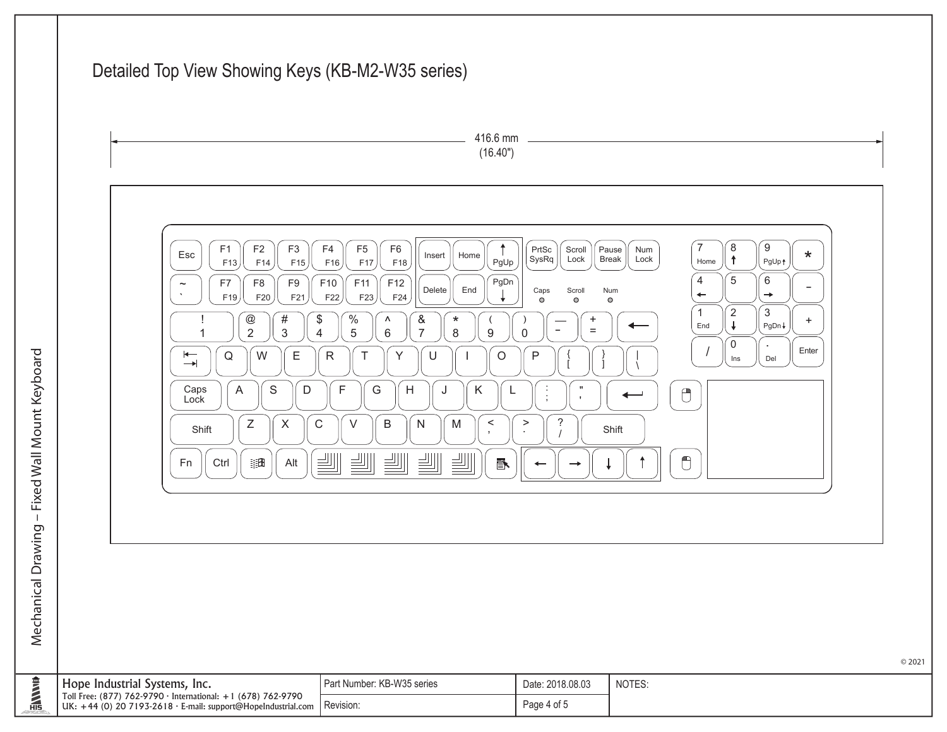